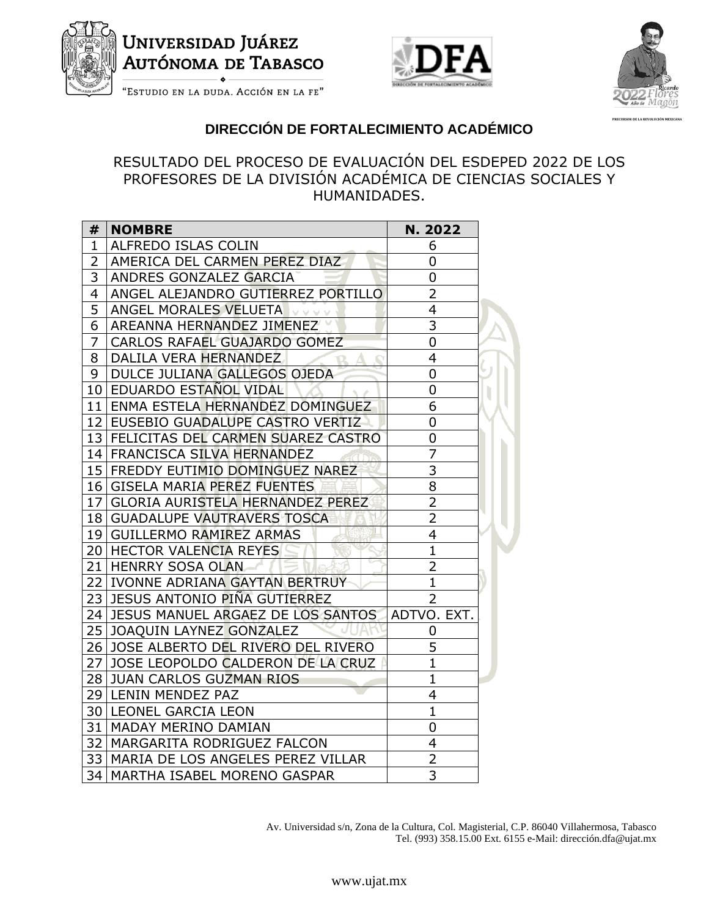

# Universidad Juáre<mark>z</mark> **AUTÓNOMA DE TABASCO**





**PRECURSOR DE LA REVOLUCIÓN MEXICANA**

"Estudio en la duda. Acción en la fe"

### **DIRECCIÓN DE FORTALECIMIENTO ACADÉMICO**

#### RESULTADO DEL PROCESO DE EVALUACIÓN DEL ESDEPED 2022 DE LOS PROFESORES DE LA DIVISIÓN ACADÉMICA DE CIENCIAS SOCIALES Y HUMANIDADES.

| #               | <b>NOMBRE</b>                          | N. 2022        |
|-----------------|----------------------------------------|----------------|
| $\mathbf{1}$    | ALFREDO ISLAS COLIN                    | 6              |
| $\overline{2}$  | AMERICA DEL CARMEN PEREZ DIAZ          | $\overline{0}$ |
| 3               | ANDRES GONZALEZ GARCIA                 | 0              |
| 4               | ANGEL ALEJANDRO GUTIERREZ PORTILLO     | $\overline{2}$ |
| 5               | ANGEL MORALES VELUETA                  | 4              |
| 6               | AREANNA HERNANDEZ JIMENEZ              | $\overline{3}$ |
| $\overline{7}$  | CARLOS RAFAEL GUAJARDO GOMEZ           | $\overline{0}$ |
| 8               | DALILA VERA HERNANDEZ                  | $\overline{4}$ |
| 9               | DULCE JULIANA GALLEGOS OJEDA           | $\overline{0}$ |
|                 | 10 EDUARDO ESTAÑOL VIDAL               | 0              |
|                 | 11 ENMA ESTELA HERNANDEZ DOMINGUEZ     | 6              |
|                 | 12 EUSEBIO GUADALUPE CASTRO VERTIZ     | $\overline{0}$ |
|                 | 13 FELICITAS DEL CARMEN SUAREZ CASTRO  | 0              |
|                 | 14 FRANCISCA SILVA HERNANDEZ           | $\overline{7}$ |
|                 | 15 FREDDY EUTIMIO DOMINGUEZ NAREZ      | $\overline{3}$ |
|                 | 16 GISELA MARIA PEREZ FUENTES          | 8              |
|                 | 17 GLORIA AURISTELA HERNANDEZ PEREZ    | $\overline{2}$ |
|                 | 18 GUADALUPE VAUTRAVERS TOSCA          | $\overline{2}$ |
|                 | 19 GUILLERMO RAMIREZ ARMAS             | $\overline{4}$ |
|                 | 20 HECTOR VALENCIA REYES               | $\overline{1}$ |
|                 | 21 HENRRY SOSA OLAN                    | $\overline{2}$ |
|                 | 22 IVONNE ADRIANA GAYTAN BERTRUY       | $\mathbf{1}$   |
|                 | 23 JESUS ANTONIO PIÑA GUTIERREZ        | 2              |
|                 | 24 JESUS MANUEL ARGAEZ DE LOS SANTOS   | ADTVO, EXT.    |
|                 | 25 JOAQUIN LAYNEZ GONZALEZ             | 0              |
|                 | 26 JOSE ALBERTO DEL RIVERO DEL RIVERO  | 5              |
| 27 <sub>l</sub> | JOSE LEOPOLDO CALDERON DE LA CRUZ      | $\overline{1}$ |
|                 | 28 JUAN CARLOS GUZMAN RIOS             | $\mathbf{1}$   |
|                 | 29 LENIN MENDEZ PAZ                    | $\overline{4}$ |
|                 | 30 LEONEL GARCIA LEON                  | $\overline{1}$ |
|                 | 31   MADAY MERINO DAMIAN               | 0              |
|                 | 32   MARGARITA RODRIGUEZ FALCON        | 4              |
|                 | 33   MARIA DE LOS ANGELES PEREZ VILLAR | $\overline{2}$ |
|                 | 34   MARTHA ISABEL MORENO GASPAR       | $\overline{3}$ |

Av. Universidad s/n, Zona de la Cultura, Col. Magisterial, C.P. 86040 Villahermosa, Tabasco Tel. (993) 358.15.00 Ext. 6155 e-Mail: dirección.dfa@ujat.mx